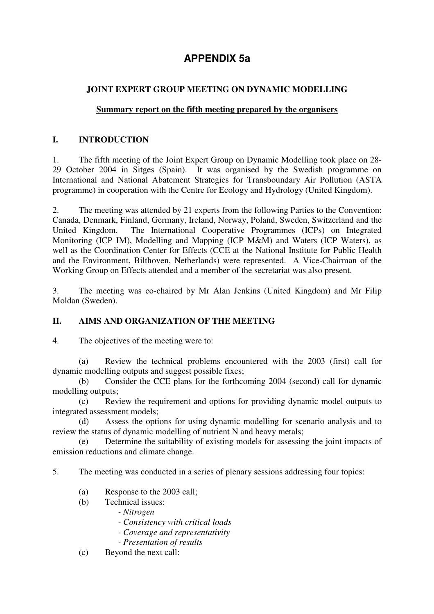# **APPENDIX 5a**

# **JOINT EXPERT GROUP MEETING ON DYNAMIC MODELLING**

#### **Summary report on the fifth meeting prepared by the organisers**

#### **I. INTRODUCTION**

1. The fifth meeting of the Joint Expert Group on Dynamic Modelling took place on 28- 29 October 2004 in Sitges (Spain). It was organised by the Swedish programme on International and National Abatement Strategies for Transboundary Air Pollution (ASTA programme) in cooperation with the Centre for Ecology and Hydrology (United Kingdom).

2. The meeting was attended by 21 experts from the following Parties to the Convention: Canada, Denmark, Finland, Germany, Ireland, Norway, Poland, Sweden, Switzerland and the United Kingdom. The International Cooperative Programmes (ICPs) on Integrated Monitoring (ICP IM), Modelling and Mapping (ICP M&M) and Waters (ICP Waters), as well as the Coordination Center for Effects (CCE at the National Institute for Public Health and the Environment, Bilthoven, Netherlands) were represented. A Vice-Chairman of the Working Group on Effects attended and a member of the secretariat was also present.

3. The meeting was co-chaired by Mr Alan Jenkins (United Kingdom) and Mr Filip Moldan (Sweden).

## **II. AIMS AND ORGANIZATION OF THE MEETING**

4. The objectives of the meeting were to:

(a) Review the technical problems encountered with the 2003 (first) call for dynamic modelling outputs and suggest possible fixes;

 (b) Consider the CCE plans for the forthcoming 2004 (second) call for dynamic modelling outputs;

 (c) Review the requirement and options for providing dynamic model outputs to integrated assessment models;

Assess the options for using dynamic modelling for scenario analysis and to review the status of dynamic modelling of nutrient N and heavy metals;

 (e) Determine the suitability of existing models for assessing the joint impacts of emission reductions and climate change.

5. The meeting was conducted in a series of plenary sessions addressing four topics:

- (a) Response to the 2003 call;
- (b) Technical issues:
	- *Nitrogen*
	- *Consistency with critical loads*
	- *Coverage and representativity*
	- *Presentation of results*
- (c) Beyond the next call: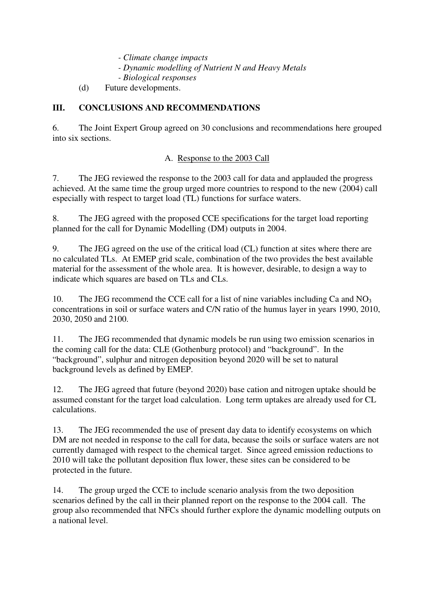- *Climate change impacts*
- *Dynamic modelling of Nutrient N and Heavy Metals*
- *Biological responses*
- (d) Future developments.

#### **III. CONCLUSIONS AND RECOMMENDATIONS**

6. The Joint Expert Group agreed on 30 conclusions and recommendations here grouped into six sections.

#### A. Response to the 2003 Call

7. The JEG reviewed the response to the 2003 call for data and applauded the progress achieved. At the same time the group urged more countries to respond to the new (2004) call especially with respect to target load (TL) functions for surface waters.

8. The JEG agreed with the proposed CCE specifications for the target load reporting planned for the call for Dynamic Modelling (DM) outputs in 2004.

9. The JEG agreed on the use of the critical load (CL) function at sites where there are no calculated TLs. At EMEP grid scale, combination of the two provides the best available material for the assessment of the whole area. It is however, desirable, to design a way to indicate which squares are based on TLs and CLs.

10. The JEG recommend the CCE call for a list of nine variables including Ca and  $NO<sub>3</sub>$ concentrations in soil or surface waters and C/N ratio of the humus layer in years 1990, 2010, 2030, 2050 and 2100.

11. The JEG recommended that dynamic models be run using two emission scenarios in the coming call for the data: CLE (Gothenburg protocol) and "background". In the "background", sulphur and nitrogen deposition beyond 2020 will be set to natural background levels as defined by EMEP.

12. The JEG agreed that future (beyond 2020) base cation and nitrogen uptake should be assumed constant for the target load calculation. Long term uptakes are already used for CL calculations.

13. The JEG recommended the use of present day data to identify ecosystems on which DM are not needed in response to the call for data, because the soils or surface waters are not currently damaged with respect to the chemical target. Since agreed emission reductions to 2010 will take the pollutant deposition flux lower, these sites can be considered to be protected in the future.

14. The group urged the CCE to include scenario analysis from the two deposition scenarios defined by the call in their planned report on the response to the 2004 call. The group also recommended that NFCs should further explore the dynamic modelling outputs on a national level.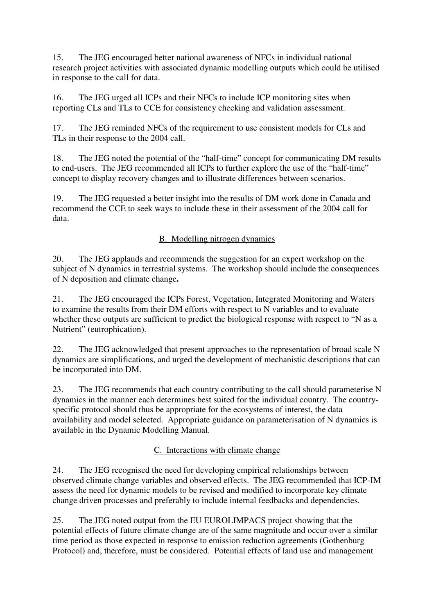15. The JEG encouraged better national awareness of NFCs in individual national research project activities with associated dynamic modelling outputs which could be utilised in response to the call for data.

16. The JEG urged all ICPs and their NFCs to include ICP monitoring sites when reporting CLs and TLs to CCE for consistency checking and validation assessment.

17. The JEG reminded NFCs of the requirement to use consistent models for CLs and TLs in their response to the 2004 call.

18. The JEG noted the potential of the "half-time" concept for communicating DM results to end-users. The JEG recommended all ICPs to further explore the use of the "half-time" concept to display recovery changes and to illustrate differences between scenarios.

19. The JEG requested a better insight into the results of DM work done in Canada and recommend the CCE to seek ways to include these in their assessment of the 2004 call for data.

## B. Modelling nitrogen dynamics

20. The JEG applauds and recommends the suggestion for an expert workshop on the subject of N dynamics in terrestrial systems. The workshop should include the consequences of N deposition and climate change**.**

21. The JEG encouraged the ICPs Forest, Vegetation, Integrated Monitoring and Waters to examine the results from their DM efforts with respect to N variables and to evaluate whether these outputs are sufficient to predict the biological response with respect to "N as a Nutrient" (eutrophication).

22. The JEG acknowledged that present approaches to the representation of broad scale N dynamics are simplifications, and urged the development of mechanistic descriptions that can be incorporated into DM.

23. The JEG recommends that each country contributing to the call should parameterise N dynamics in the manner each determines best suited for the individual country. The countryspecific protocol should thus be appropriate for the ecosystems of interest, the data availability and model selected. Appropriate guidance on parameterisation of N dynamics is available in the Dynamic Modelling Manual.

## C. Interactions with climate change

24. The JEG recognised the need for developing empirical relationships between observed climate change variables and observed effects. The JEG recommended that ICP-IM assess the need for dynamic models to be revised and modified to incorporate key climate change driven processes and preferably to include internal feedbacks and dependencies.

25. The JEG noted output from the EU EUROLIMPACS project showing that the potential effects of future climate change are of the same magnitude and occur over a similar time period as those expected in response to emission reduction agreements (Gothenburg Protocol) and, therefore, must be considered. Potential effects of land use and management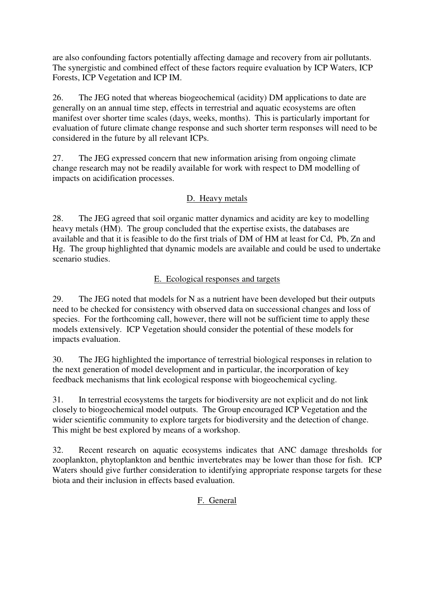are also confounding factors potentially affecting damage and recovery from air pollutants. The synergistic and combined effect of these factors require evaluation by ICP Waters, ICP Forests, ICP Vegetation and ICP IM.

26. The JEG noted that whereas biogeochemical (acidity) DM applications to date are generally on an annual time step, effects in terrestrial and aquatic ecosystems are often manifest over shorter time scales (days, weeks, months). This is particularly important for evaluation of future climate change response and such shorter term responses will need to be considered in the future by all relevant ICPs.

27. The JEG expressed concern that new information arising from ongoing climate change research may not be readily available for work with respect to DM modelling of impacts on acidification processes.

# D. Heavy metals

28. The JEG agreed that soil organic matter dynamics and acidity are key to modelling heavy metals (HM). The group concluded that the expertise exists, the databases are available and that it is feasible to do the first trials of DM of HM at least for Cd, Pb, Zn and Hg. The group highlighted that dynamic models are available and could be used to undertake scenario studies.

## E. Ecological responses and targets

29. The JEG noted that models for N as a nutrient have been developed but their outputs need to be checked for consistency with observed data on successional changes and loss of species. For the forthcoming call, however, there will not be sufficient time to apply these models extensively. ICP Vegetation should consider the potential of these models for impacts evaluation.

30. The JEG highlighted the importance of terrestrial biological responses in relation to the next generation of model development and in particular, the incorporation of key feedback mechanisms that link ecological response with biogeochemical cycling.

31. In terrestrial ecosystems the targets for biodiversity are not explicit and do not link closely to biogeochemical model outputs. The Group encouraged ICP Vegetation and the wider scientific community to explore targets for biodiversity and the detection of change. This might be best explored by means of a workshop.

32. Recent research on aquatic ecosystems indicates that ANC damage thresholds for zooplankton, phytoplankton and benthic invertebrates may be lower than those for fish. ICP Waters should give further consideration to identifying appropriate response targets for these biota and their inclusion in effects based evaluation.

#### F. General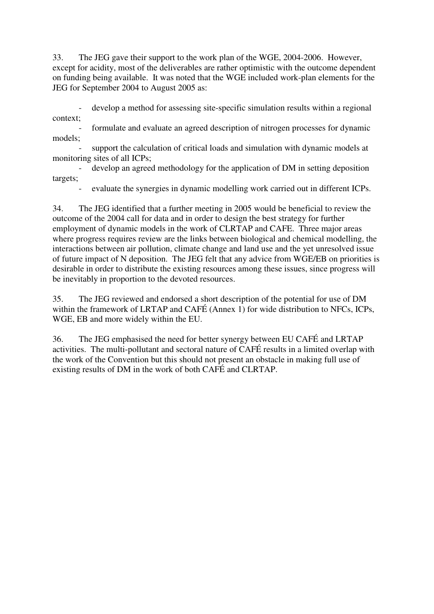33. The JEG gave their support to the work plan of the WGE, 2004-2006. However, except for acidity, most of the deliverables are rather optimistic with the outcome dependent on funding being available. It was noted that the WGE included work-plan elements for the JEG for September 2004 to August 2005 as:

 - develop a method for assessing site-specific simulation results within a regional context;

formulate and evaluate an agreed description of nitrogen processes for dynamic models;

support the calculation of critical loads and simulation with dynamic models at monitoring sites of all ICPs;

develop an agreed methodology for the application of DM in setting deposition targets;

evaluate the synergies in dynamic modelling work carried out in different ICPs.

34. The JEG identified that a further meeting in 2005 would be beneficial to review the outcome of the 2004 call for data and in order to design the best strategy for further employment of dynamic models in the work of CLRTAP and CAFE. Three major areas where progress requires review are the links between biological and chemical modelling, the interactions between air pollution, climate change and land use and the yet unresolved issue of future impact of N deposition. The JEG felt that any advice from WGE/EB on priorities is desirable in order to distribute the existing resources among these issues, since progress will be inevitably in proportion to the devoted resources.

35. The JEG reviewed and endorsed a short description of the potential for use of DM within the framework of LRTAP and CAFÉ (Annex 1) for wide distribution to NFCs, ICPs, WGE, EB and more widely within the EU.

36. The JEG emphasised the need for better synergy between EU CAFÉ and LRTAP activities. The multi-pollutant and sectoral nature of CAFÉ results in a limited overlap with the work of the Convention but this should not present an obstacle in making full use of existing results of DM in the work of both CAFÉ and CLRTAP.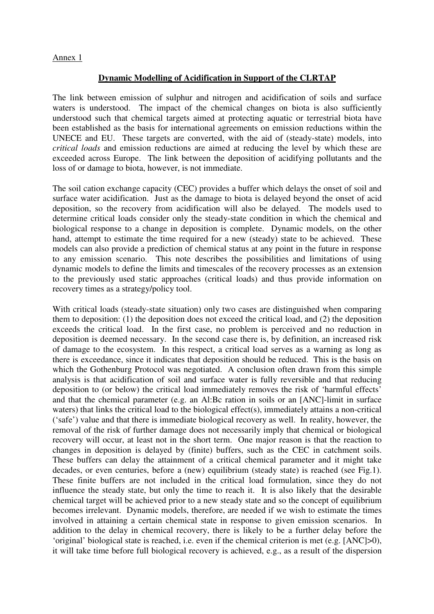#### Annex 1

#### **Dynamic Modelling of Acidification in Support of the CLRTAP**

The link between emission of sulphur and nitrogen and acidification of soils and surface waters is understood. The impact of the chemical changes on biota is also sufficiently understood such that chemical targets aimed at protecting aquatic or terrestrial biota have been established as the basis for international agreements on emission reductions within the UNECE and EU. These targets are converted, with the aid of (steady-state) models, into *critical loads* and emission reductions are aimed at reducing the level by which these are exceeded across Europe. The link between the deposition of acidifying pollutants and the loss of or damage to biota, however, is not immediate.

The soil cation exchange capacity (CEC) provides a buffer which delays the onset of soil and surface water acidification. Just as the damage to biota is delayed beyond the onset of acid deposition, so the recovery from acidification will also be delayed. The models used to determine critical loads consider only the steady-state condition in which the chemical and biological response to a change in deposition is complete. Dynamic models, on the other hand, attempt to estimate the time required for a new (steady) state to be achieved. These models can also provide a prediction of chemical status at any point in the future in response to any emission scenario. This note describes the possibilities and limitations of using dynamic models to define the limits and timescales of the recovery processes as an extension to the previously used static approaches (critical loads) and thus provide information on recovery times as a strategy/policy tool.

With critical loads (steady-state situation) only two cases are distinguished when comparing them to deposition: (1) the deposition does not exceed the critical load, and (2) the deposition exceeds the critical load. In the first case, no problem is perceived and no reduction in deposition is deemed necessary. In the second case there is, by definition, an increased risk of damage to the ecosystem. In this respect, a critical load serves as a warning as long as there is exceedance, since it indicates that deposition should be reduced. This is the basis on which the Gothenburg Protocol was negotiated. A conclusion often drawn from this simple analysis is that acidification of soil and surface water is fully reversible and that reducing deposition to (or below) the critical load immediately removes the risk of 'harmful effects' and that the chemical parameter (e.g. an Al:Bc ration in soils or an [ANC]-limit in surface waters) that links the critical load to the biological effect(s), immediately attains a non-critical ('safe') value and that there is immediate biological recovery as well. In reality, however, the removal of the risk of further damage does not necessarily imply that chemical or biological recovery will occur, at least not in the short term. One major reason is that the reaction to changes in deposition is delayed by (finite) buffers, such as the CEC in catchment soils. These buffers can delay the attainment of a critical chemical parameter and it might take decades, or even centuries, before a (new) equilibrium (steady state) is reached (see Fig.1). These finite buffers are not included in the critical load formulation, since they do not influence the steady state, but only the time to reach it. It is also likely that the desirable chemical target will be achieved prior to a new steady state and so the concept of equilibrium becomes irrelevant. Dynamic models, therefore, are needed if we wish to estimate the times involved in attaining a certain chemical state in response to given emission scenarios. In addition to the delay in chemical recovery, there is likely to be a further delay before the 'original' biological state is reached, i.e. even if the chemical criterion is met (e.g. [ANC]>0), it will take time before full biological recovery is achieved, e.g., as a result of the dispersion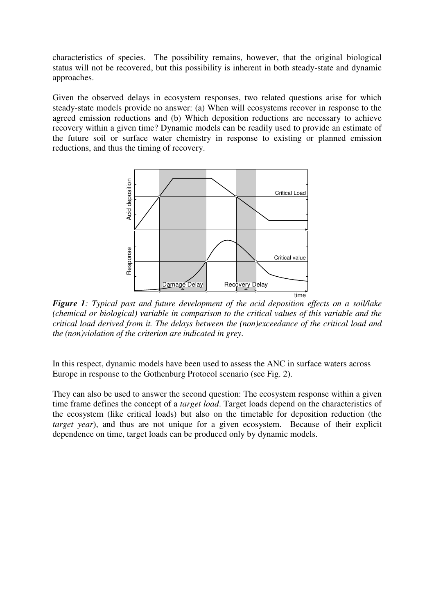characteristics of species. The possibility remains, however, that the original biological status will not be recovered, but this possibility is inherent in both steady-state and dynamic approaches.

Given the observed delays in ecosystem responses, two related questions arise for which steady-state models provide no answer: (a) When will ecosystems recover in response to the agreed emission reductions and (b) Which deposition reductions are necessary to achieve recovery within a given time? Dynamic models can be readily used to provide an estimate of the future soil or surface water chemistry in response to existing or planned emission reductions, and thus the timing of recovery.



*Figure 1: Typical past and future development of the acid deposition effects on a soil/lake (chemical or biological) variable in comparison to the critical values of this variable and the critical load derived from it. The delays between the (non)exceedance of the critical load and the (non)violation of the criterion are indicated in grey*.

In this respect, dynamic models have been used to assess the ANC in surface waters across Europe in response to the Gothenburg Protocol scenario (see Fig. 2).

They can also be used to answer the second question: The ecosystem response within a given time frame defines the concept of a *target load*. Target loads depend on the characteristics of the ecosystem (like critical loads) but also on the timetable for deposition reduction (the *target year*), and thus are not unique for a given ecosystem. Because of their explicit dependence on time, target loads can be produced only by dynamic models.